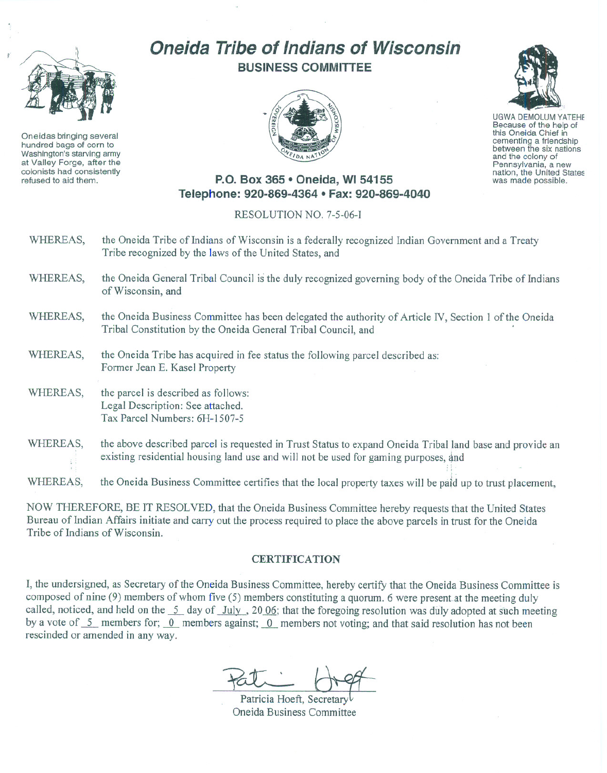

Oneidas bringing several hundred bags of corn to Washington's starving army at Valley Forge, after the refused to aid them.

## **Oneida Tribe of Indians of Wisconsin BUSINESS COMMITTEE**





UGWA DEMOLUM YATEHE this Oneida Chief in cementing <sup>a</sup> friendship between the six nations and the colony of<br>Pennsylvania, a new nation, the United States was made possible.

## **P.O. Box 365· Oneida,** WI 54155 **Telephone: 920-869-4364 • Fax: 920-869-4040**

RESOLUTION NO. 7-5-06-1

| WHEREAS, | the Oneida Tribe of Indians of Wisconsin is a federally recognized Indian Government and a Treaty<br>Tribe recognized by the laws of the United States, and                                     |
|----------|-------------------------------------------------------------------------------------------------------------------------------------------------------------------------------------------------|
| WHEREAS, | the Oneida General Tribal Council is the duly recognized governing body of the Oneida Tribe of Indians<br>of Wisconsin, and                                                                     |
| WHEREAS, | the Oneida Business Committee has been delegated the authority of Article IV, Section 1 of the Oneida<br>Tribal Constitution by the Oneida General Tribal Council, and                          |
| WHEREAS, | the Oneida Tribe has acquired in fee status the following parcel described as:<br>Former Jean E. Kasel Property                                                                                 |
| WHEREAS, | the parcel is described as follows:<br>Legal Description: See attached.<br>Tax Parcel Numbers: 6H-1507-5                                                                                        |
| WHEREAS, | the above described parcel is requested in Trust Status to expand Oneida Tribal land base and provide an<br>existing residential housing land use and will not be used for gaming purposes, and |

WHEREAS, the Oneida Business Committee certifies that the local property taxes will be paid up to trust placement,

NOW THEREFORE, BE IT RESOLVED, that the Oneida Business Committee hereby requests that the United States Bureau of Indian Affairs initiate and carry out the process required to place the above parcels in trust for the Oneida Tribe of Indians of Wisconsin.

## **CERTIFICATION**

I, the undersigned, as Secretary of the Oneida Business Committee, hereby certify that the Oneida Business Committee is composed of nine (9) members of whom five (5) members constituting a quorum. 6 were presentat the meeting duly called, noticed, and held on the 5 day of *July*, 2006; that the foregoing resolution was duly adopted at such meeting by a vote of  $\overline{5}$  members for;  $\overline{0}$  members against;  $\overline{0}$  members not voting; and that said resolution has not been rescinded or amended in any way.

Patricia Hoeft, Secretary Oneida Business Committee